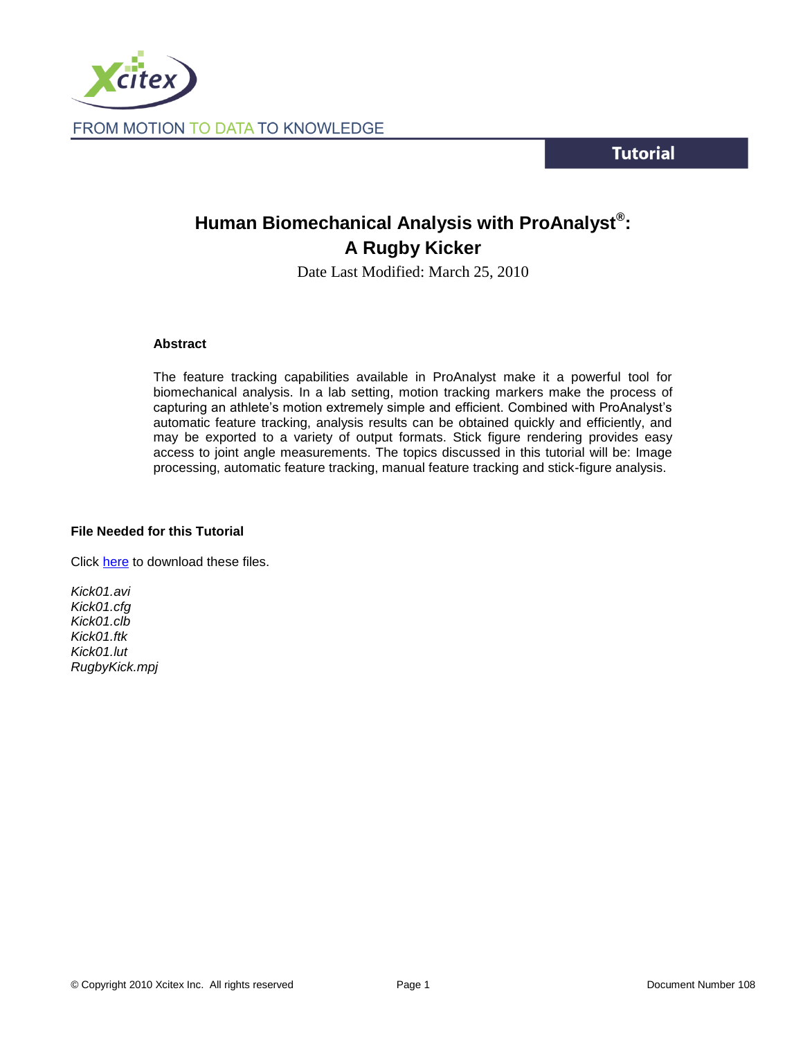

**Tutorial** 

# **Human Biomechanical Analysis with ProAnalyst® : A Rugby Kicker**

Date Last Modified: March 25, 2010

## **Abstract**

The feature tracking capabilities available in ProAnalyst make it a powerful tool for biomechanical analysis. In a lab setting, motion tracking markers make the process of capturing an athlete's motion extremely simple and efficient. Combined with ProAnalyst's automatic feature tracking, analysis results can be obtained quickly and efficiently, and may be exported to a variety of output formats. Stick figure rendering provides easy access to joint angle measurements. The topics discussed in this tutorial will be: Image processing, automatic feature tracking, manual feature tracking and stick-figure analysis.

# **File Needed for this Tutorial**

Click [here](http://www.xcitex.com/Resource%20Center/ProAnalyst/Tutorials/T108%20-%20Video%20files.zip) to download these files.

*Kick01.avi Kick01.cfg Kick01.clb Kick01.ftk Kick01.lut RugbyKick.mpj*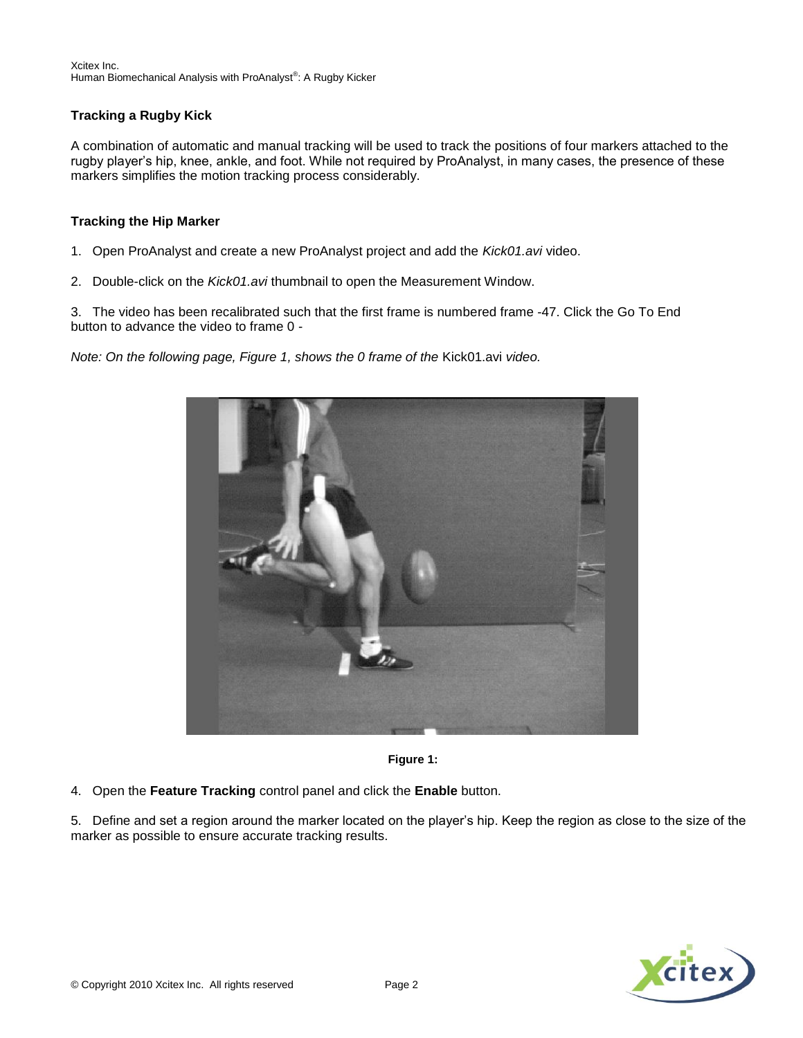Xcitex Inc. Human Biomechanical Analysis with ProAnalyst®: A Rugby Kicker

# **Tracking a Rugby Kick**

A combination of automatic and manual tracking will be used to track the positions of four markers attached to the rugby player's hip, knee, ankle, and foot. While not required by ProAnalyst, in many cases, the presence of these markers simplifies the motion tracking process considerably.

## **Tracking the Hip Marker**

- 1. Open ProAnalyst and create a new ProAnalyst project and add the *Kick01.avi* video.
- 2. Double-click on the *Kick01.avi* thumbnail to open the Measurement Window.

3. The video has been recalibrated such that the first frame is numbered frame -47. Click the Go To End button to advance the video to frame 0 -

*Note: On the following page, Figure 1, shows the 0 frame of the* Kick01.avi *video.* 





4. Open the **Feature Tracking** control panel and click the **Enable** button.

5. Define and set a region around the marker located on the player's hip. Keep the region as close to the size of the marker as possible to ensure accurate tracking results.

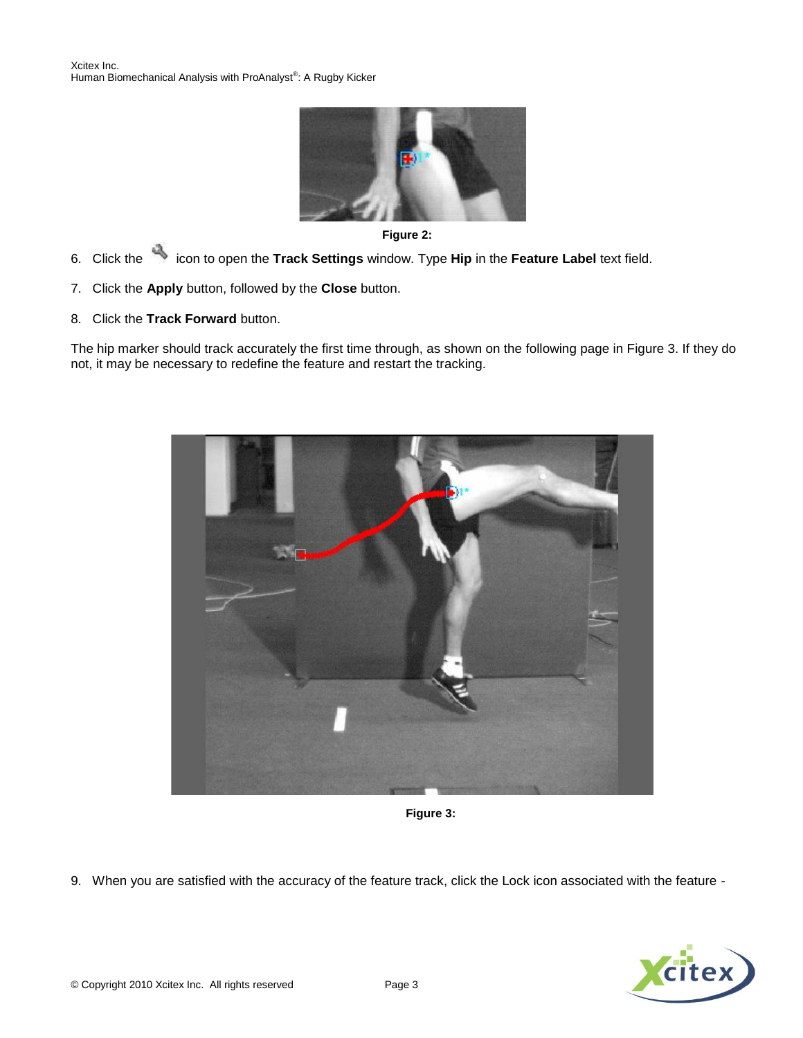



- 6.Click the icon to open the **Track Settings** window. Type **Hip** in the **Feature Label** text field.
- 7. Click the **Apply** button, followed by the **Close** button.
- 8. Click the **Track Forward** button.

The hip marker should track accurately the first time through, as shown on the following page in Figure 3. If they do not, it may be necessary to redefine the feature and restart the tracking.



**Figure 3:**

9. When you are satisfied with the accuracy of the feature track, click the Lock icon associated with the feature -

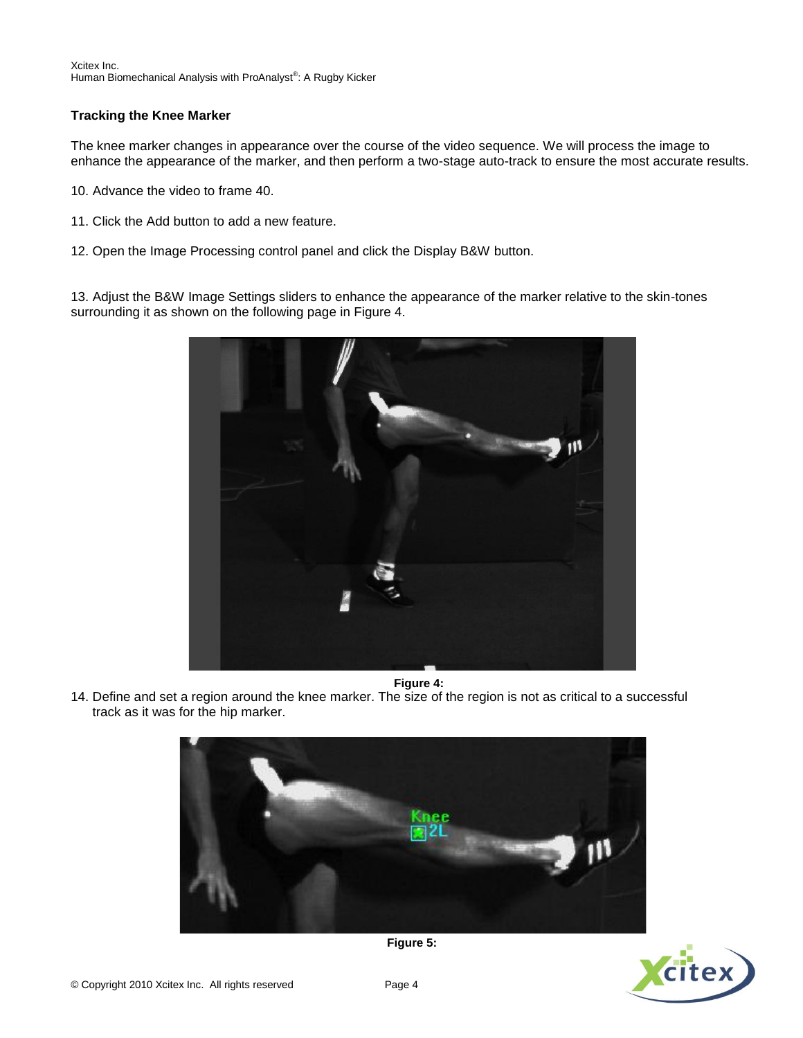# **Tracking the Knee Marker**

The knee marker changes in appearance over the course of the video sequence. We will process the image to enhance the appearance of the marker, and then perform a two-stage auto-track to ensure the most accurate results.

- 10. Advance the video to frame 40.
- 11. Click the Add button to add a new feature.
- 12. Open the Image Processing control panel and click the Display B&W button.

13. Adjust the B&W Image Settings sliders to enhance the appearance of the marker relative to the skin-tones surrounding it as shown on the following page in Figure 4.



14. Define and set a region around the knee marker. The size of the region is not as critical to a successful track as it was for the hip marker. **Figure 4:**





**Figure 5:**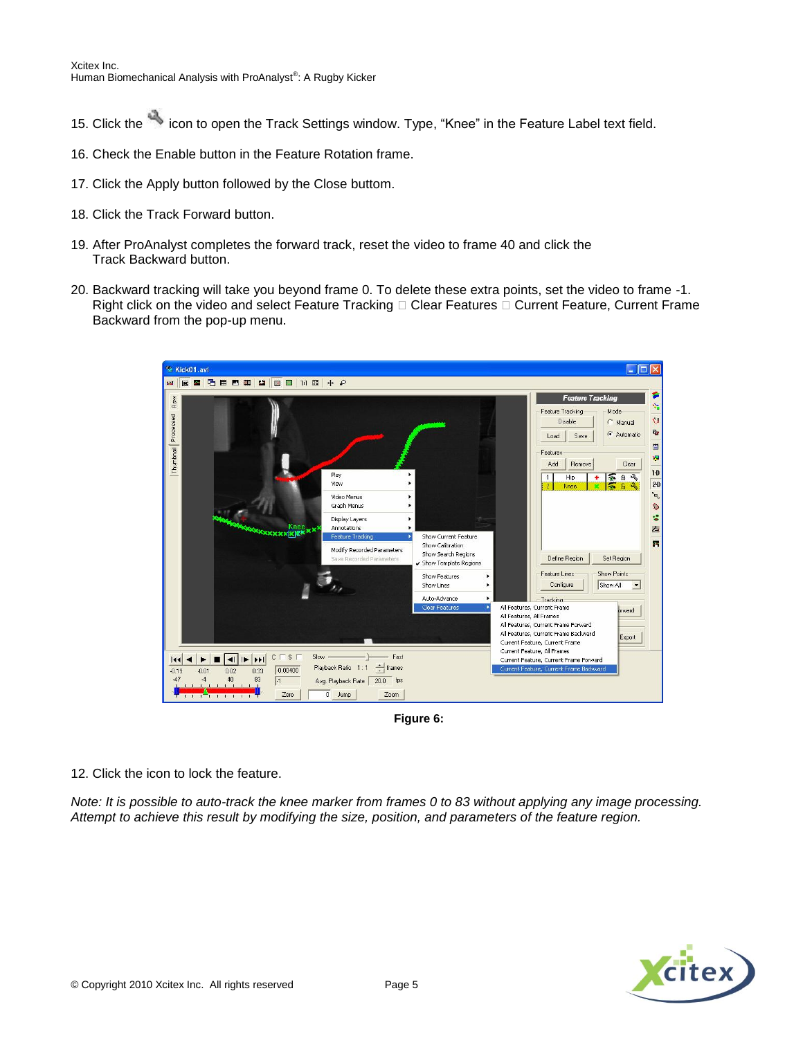- 15. Click the icon to open the Track Settings window. Type, "Knee" in the Feature Label text field.
- 16. Check the Enable button in the Feature Rotation frame.
- 17. Click the Apply button followed by the Close buttom.
- 18. Click the Track Forward button.
- 19. After ProAnalyst completes the forward track, reset the video to frame 40 and click the Track Backward button.
- 20. Backward tracking will take you beyond frame 0. To delete these extra points, set the video to frame -1. Right click on the video and select Feature Tracking  $\Box$  Clear Features  $\Box$  Current Feature, Current Frame Backward from the pop-up menu.



**Figure 6:**

12. Click the icon to lock the feature.

*Note: It is possible to auto-track the knee marker from frames 0 to 83 without applying any image processing. Attempt to achieve this result by modifying the size, position, and parameters of the feature region.* 

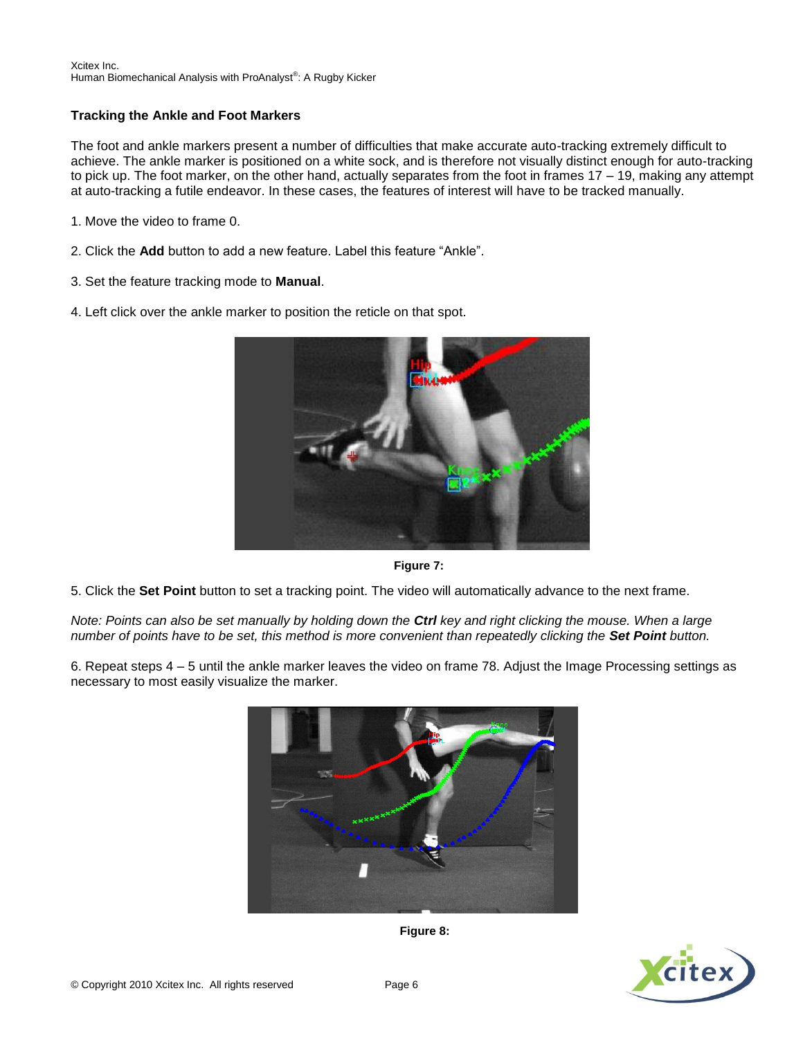#### Xcitex Inc. Human Biomechanical Analysis with ProAnalyst®: A Rugby Kicker

# **Tracking the Ankle and Foot Markers**

The foot and ankle markers present a number of difficulties that make accurate auto-tracking extremely difficult to achieve. The ankle marker is positioned on a white sock, and is therefore not visually distinct enough for auto-tracking to pick up. The foot marker, on the other hand, actually separates from the foot in frames 17 – 19, making any attempt at auto-tracking a futile endeavor. In these cases, the features of interest will have to be tracked manually.

- 1. Move the video to frame 0.
- 2. Click the **Add** button to add a new feature. Label this feature "Ankle".
- 3. Set the feature tracking mode to **Manual**.
- 4. Left click over the ankle marker to position the reticle on that spot.



**Figure 7:**

5. Click the **Set Point** button to set a tracking point. The video will automatically advance to the next frame.

*Note: Points can also be set manually by holding down the Ctrl key and right clicking the mouse. When a large number of points have to be set, this method is more convenient than repeatedly clicking the Set Point button.* 

6. Repeat steps 4 – 5 until the ankle marker leaves the video on frame 78. Adjust the Image Processing settings as necessary to most easily visualize the marker.





**Figure 8:**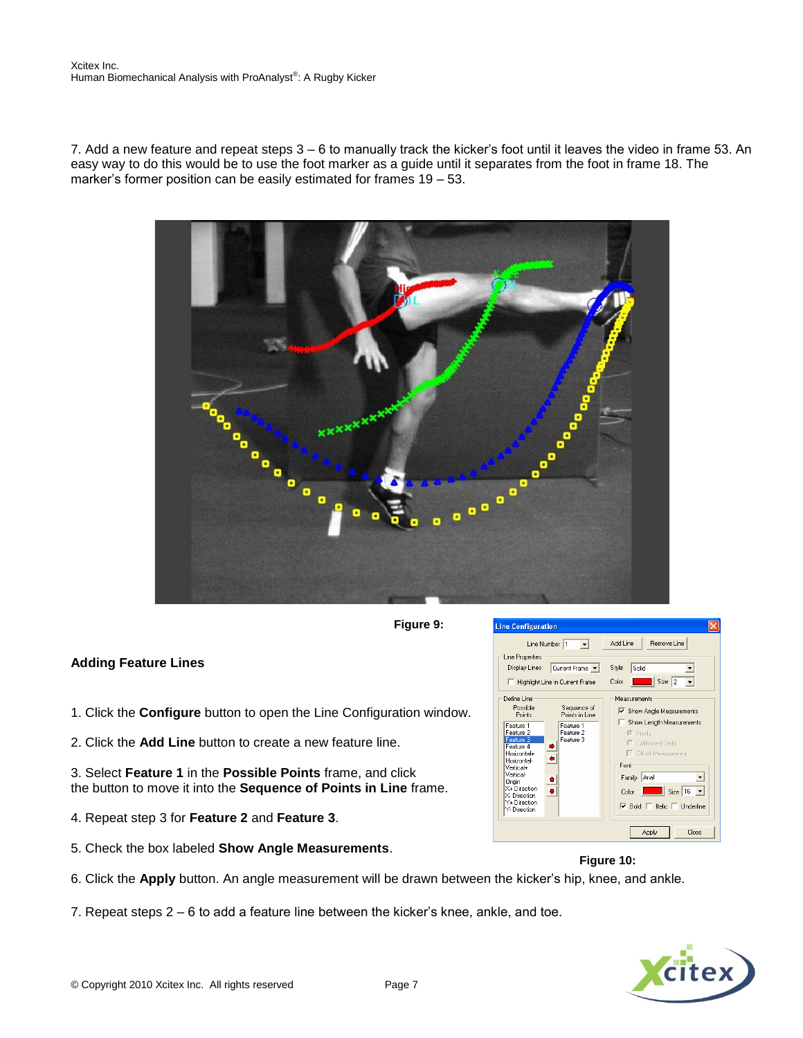7. Add a new feature and repeat steps 3 – 6 to manually track the kicker's foot until it leaves the video in frame 53. An easy way to do this would be to use the foot marker as a guide until it separates from the foot in frame 18. The marker's former position can be easily estimated for frames 19 – 53.



**Figure 9:**

# **Adding Feature Lines**

- 1. Click the **Configure** button to open the Line Configuration window.
- 2. Click the **Add Line** button to create a new feature line.
- 3. Select **Feature 1** in the **Possible Points** frame, and click the button to move it into the **Sequence of Points in Line** frame.
- 4. Repeat step 3 for **Feature 2** and **Feature 3**.
- 5. Check the box labeled **Show Angle Measurements**.



# **Figure 10:**

- 6. Click the **Apply** button. An angle measurement will be drawn between the kicker's hip, knee, and ankle.
- 7. Repeat steps 2 6 to add a feature line between the kicker's knee, ankle, and toe.